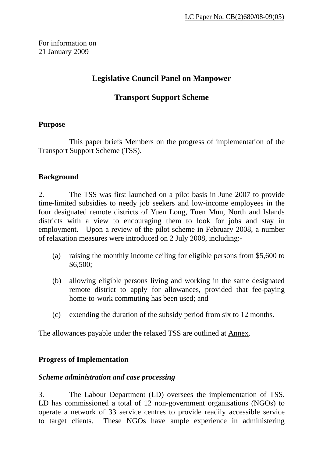For information on 21 January 2009

# **Legislative Council Panel on Manpower**

# **Transport Support Scheme**

#### **Purpose**

 This paper briefs Members on the progress of implementation of the Transport Support Scheme (TSS).

#### **Background**

2. The TSS was first launched on a pilot basis in June 2007 to provide time-limited subsidies to needy job seekers and low-income employees in the four designated remote districts of Yuen Long, Tuen Mun, North and Islands districts with a view to encouraging them to look for jobs and stay in employment. Upon a review of the pilot scheme in February 2008, a number of relaxation measures were introduced on 2 July 2008, including:-

- (a) raising the monthly income ceiling for eligible persons from \$5,600 to \$6,500;
- (b) allowing eligible persons living and working in the same designated remote district to apply for allowances, provided that fee-paying home-to-work commuting has been used; and
- (c) extending the duration of the subsidy period from six to 12 months.

The allowances payable under the relaxed TSS are outlined at Annex.

#### **Progress of Implementation**

#### *Scheme administration and case processing*

3. The Labour Department (LD) oversees the implementation of TSS. LD has commissioned a total of 12 non-government organisations (NGOs) to operate a network of 33 service centres to provide readily accessible service to target clients. These NGOs have ample experience in administering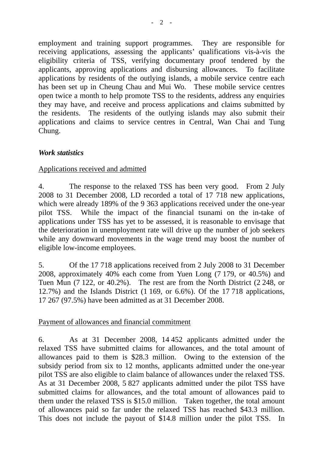employment and training support programmes. They are responsible for receiving applications, assessing the applicants' qualifications vis-à-vis the eligibility criteria of TSS, verifying documentary proof tendered by the applicants, approving applications and disbursing allowances. To facilitate applications by residents of the outlying islands, a mobile service centre each has been set up in Cheung Chau and Mui Wo. These mobile service centres open twice a month to help promote TSS to the residents, address any enquiries they may have, and receive and process applications and claims submitted by the residents. The residents of the outlying islands may also submit their applications and claims to service centres in Central, Wan Chai and Tung Chung.

## *Work statistics*

#### Applications received and admitted

4. The response to the relaxed TSS has been very good. From 2 July 2008 to 31 December 2008, LD recorded a total of 17 718 new applications, which were already 189% of the 9 363 applications received under the one-year pilot TSS. While the impact of the financial tsunami on the in-take of applications under TSS has yet to be assessed, it is reasonable to envisage that the deterioration in unemployment rate will drive up the number of job seekers while any downward movements in the wage trend may boost the number of eligible low-income employees.

5. Of the 17 718 applications received from 2 July 2008 to 31 December 2008, approximately 40% each come from Yuen Long (7 179, or 40.5%) and Tuen Mun (7 122, or 40.2%). The rest are from the North District (2 248, or 12.7%) and the Islands District (1 169, or 6.6%). Of the 17 718 applications, 17 267 (97.5%) have been admitted as at 31 December 2008.

#### Payment of allowances and financial commitment

6. As at 31 December 2008, 14 452 applicants admitted under the relaxed TSS have submitted claims for allowances, and the total amount of allowances paid to them is \$28.3 million. Owing to the extension of the subsidy period from six to 12 months, applicants admitted under the one-year pilot TSS are also eligible to claim balance of allowances under the relaxed TSS. As at 31 December 2008, 5 827 applicants admitted under the pilot TSS have submitted claims for allowances, and the total amount of allowances paid to them under the relaxed TSS is \$15.0 million. Taken together, the total amount of allowances paid so far under the relaxed TSS has reached \$43.3 million. This does not include the payout of \$14.8 million under the pilot TSS. In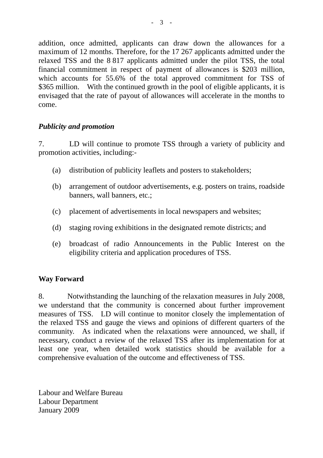addition, once admitted, applicants can draw down the allowances for a maximum of 12 months. Therefore, for the 17 267 applicants admitted under the relaxed TSS and the 8 817 applicants admitted under the pilot TSS, the total financial commitment in respect of payment of allowances is \$203 million, which accounts for 55.6% of the total approved commitment for TSS of \$365 million. With the continued growth in the pool of eligible applicants, it is envisaged that the rate of payout of allowances will accelerate in the months to come.

## *Publicity and promotion*

7. LD will continue to promote TSS through a variety of publicity and promotion activities, including:-

- (a) distribution of publicity leaflets and posters to stakeholders;
- (b) arrangement of outdoor advertisements, e.g. posters on trains, roadside banners, wall banners, etc.;
- (c) placement of advertisements in local newspapers and websites;
- (d) staging roving exhibitions in the designated remote districts; and
- (e) broadcast of radio Announcements in the Public Interest on the eligibility criteria and application procedures of TSS.

# **Way Forward**

8. Notwithstanding the launching of the relaxation measures in July 2008, we understand that the community is concerned about further improvement measures of TSS. LD will continue to monitor closely the implementation of the relaxed TSS and gauge the views and opinions of different quarters of the community. As indicated when the relaxations were announced, we shall, if necessary, conduct a review of the relaxed TSS after its implementation for at least one year, when detailed work statistics should be available for a comprehensive evaluation of the outcome and effectiveness of TSS.

Labour and Welfare Bureau Labour Department January 2009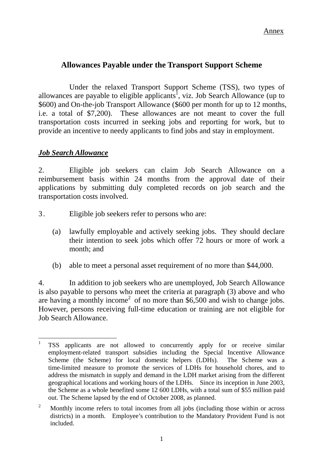# **Allowances Payable under the Transport Support Scheme**

Under the relaxed Transport Support Scheme (TSS), two types of allowances are payable to eligible applicants<sup>1</sup>, viz. Job Search Allowance (up to \$600) and On-the-job Transport Allowance (\$600 per month for up to 12 months, i.e. a total of \$7,200). These allowances are not meant to cover the full transportation costs incurred in seeking jobs and reporting for work, but to provide an incentive to needy applicants to find jobs and stay in employment.

## *Job Search Allowance*

2. Eligible job seekers can claim Job Search Allowance on a reimbursement basis within 24 months from the approval date of their applications by submitting duly completed records on job search and the transportation costs involved.

- 3. Eligible job seekers refer to persons who are:
	- (a) lawfully employable and actively seeking jobs. They should declare their intention to seek jobs which offer 72 hours or more of work a month; and
	- (b) able to meet a personal asset requirement of no more than \$44,000.

4. In addition to job seekers who are unemployed, Job Search Allowance is also payable to persons who meet the criteria at paragraph (3) above and who are having a monthly income<sup>[2](#page-3-1)</sup> of no more than  $$6,500$  and wish to change jobs. However, persons receiving full-time education or training are not eligible for Job Search Allowance.

<span id="page-3-0"></span> $\mathbf{1}$ <sup>1</sup> TSS applicants are not allowed to concurrently apply for or receive similar employment-related transport subsidies including the Special Incentive Allowance Scheme (the Scheme) for local domestic helpers (LDHs). The Scheme was a time-limited measure to promote the services of LDHs for household chores, and to address the mismatch in supply and demand in the LDH market arising from the different geographical locations and working hours of the LDHs. Since its inception in June 2003, the Scheme as a whole benefited some 12 600 LDHs, with a total sum of \$55 million paid out. The Scheme lapsed by the end of October 2008, as planned.

<span id="page-3-1"></span><sup>&</sup>lt;sup>2</sup> Monthly income refers to total incomes from all jobs (including those within or across districts) in a month. Employee's contribution to the Mandatory Provident Fund is not included.